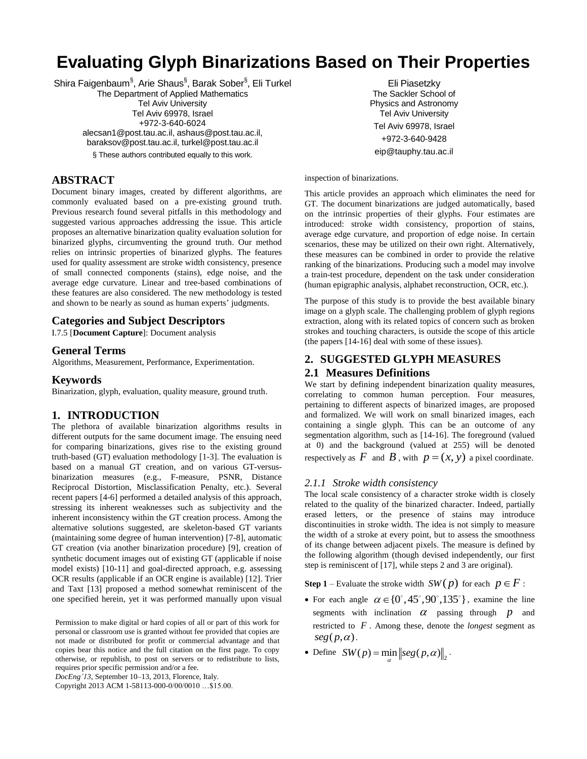# **Evaluating Glyph Binarizations Based on Their Properties**

Shira Faigenbaum<sup>§</sup>, Arie Shaus<sup>§</sup>, Barak Sober<sup>§</sup>, Eli Turkel The Department of Applied Mathematics Tel Aviv University Tel Aviv 69978, Israel +972-3-640-6024 alecsan1@post.tau.ac.il, ashaus@post.tau.ac.il,

baraksov@post.tau.ac.il, turkel@post.tau.ac.il § These authors contributed equally to this work.

## **ABSTRACT**

Document binary images, created by different algorithms, are commonly evaluated based on a pre-existing ground truth. Previous research found several pitfalls in this methodology and suggested various approaches addressing the issue. This article proposes an alternative binarization quality evaluation solution for binarized glyphs, circumventing the ground truth. Our method relies on intrinsic properties of binarized glyphs. The features used for quality assessment are stroke width consistency, presence of small connected components (stains), edge noise, and the average edge curvature. Linear and tree-based combinations of these features are also considered. The new methodology is tested and shown to be nearly as sound as human experts' judgments.

## **Categories and Subject Descriptors**

I.7.5 [**Document Capture**]: Document analysis

### **General Terms**

Algorithms, Measurement, Performance, Experimentation.

## **Keywords**

Binarization, glyph, evaluation, quality measure, ground truth.

## **1. INTRODUCTION**

The plethora of available binarization algorithms results in different outputs for the same document image. The ensuing need for comparing binarizations, gives rise to the existing ground truth-based (GT) evaluation methodology [1-3]. The evaluation is based on a manual GT creation, and on various GT-versusbinarization measures (e.g., F-measure, PSNR, Distance Reciprocal Distortion, Misclassification Penalty, etc.). Several recent papers [4-6] performed a detailed analysis of this approach, stressing its inherent weaknesses such as subjectivity and the inherent inconsistency within the GT creation process. Among the alternative solutions suggested, are skeleton-based GT variants (maintaining some degree of human intervention) [7-8], automatic GT creation (via another binarization procedure) [9], creation of synthetic document images out of existing GT (applicable if noise model exists) [10-11] and goal-directed approach, e.g. assessing OCR results (applicable if an OCR engine is available) [12]. Trier and Taxt [13] proposed a method somewhat reminiscent of the one specified herein, yet it was performed manually upon visual

Permission to make digital or hard copies of all or part of this work for personal or classroom use is granted without fee provided that copies are not made or distributed for profit or commercial advantage and that copies bear this notice and the full citation on the first page. To copy otherwise, or republish, to post on servers or to redistribute to lists, requires prior specific permission and/or a fee.

*DocEng'13*, September 10–13, 2013, Florence, Italy.

Copyright 2013 ACM 1-58113-000-0/00/0010 …\$15.00.

Eli Piasetzky The Sackler School of Physics and Astronomy Tel Aviv University Tel Aviv 69978, Israel +972-3-640-9428 eip@tauphy.tau.ac.il

inspection of binarizations.

This article provides an approach which eliminates the need for GT. The document binarizations are judged automatically, based on the intrinsic properties of their glyphs. Four estimates are introduced: stroke width consistency, proportion of stains, average edge curvature, and proportion of edge noise. In certain scenarios, these may be utilized on their own right. Alternatively, these measures can be combined in order to provide the relative ranking of the binarizations. Producing such a model may involve a train-test procedure, dependent on the task under consideration (human epigraphic analysis, alphabet reconstruction, OCR, etc.).

The purpose of this study is to provide the best available binary image on a glyph scale. The challenging problem of glyph regions extraction, along with its related topics of concern such as broken strokes and touching characters, is outside the scope of this article (the papers [14-16] deal with some of these issues).

# **2. SUGGESTED GLYPH MEASURES**

## **2.1 Measures Definitions**

We start by defining independent binarization quality measures, correlating to common human perception. Four measures, pertaining to different aspects of binarized images, are proposed and formalized. We will work on small binarized images, each containing a single glyph. This can be an outcome of any segmentation algorithm, such as [14-16]. The foreground (valued at 0) and the background (valued at 255) will be denoted respectively as  $F$  and  $B$ , with  $p = (x, y)$  a pixel coordinate.

#### *2.1.1 Stroke width consistency*

The local scale consistency of a character stroke width is closely related to the quality of the binarized character. Indeed, partially erased letters, or the presence of stains may introduce discontinuities in stroke width. The idea is not simply to measure the width of a stroke at every point, but to assess the smoothness of its change between adjacent pixels. The measure is defined by the following algorithm (though devised independently, our first step is reminiscent of [17], while steps 2 and 3 are original).

**Step 1** – Evaluate the stroke width  $SW(p)$  for each  $p \in F$ :

- For each angle  $\alpha \in \{0^\circ, 45^\circ, 90^\circ, 135^\circ\}$ , examine the line segments with inclination  $\alpha$  passing through  $p$  and restricted to *F* . Among these, denote the *longest* segment as  $seg(p, \alpha)$ .
- Define  $SW(p) = \min_{\alpha} \left\| \text{seg}(p, \alpha) \right\|_2$ .

α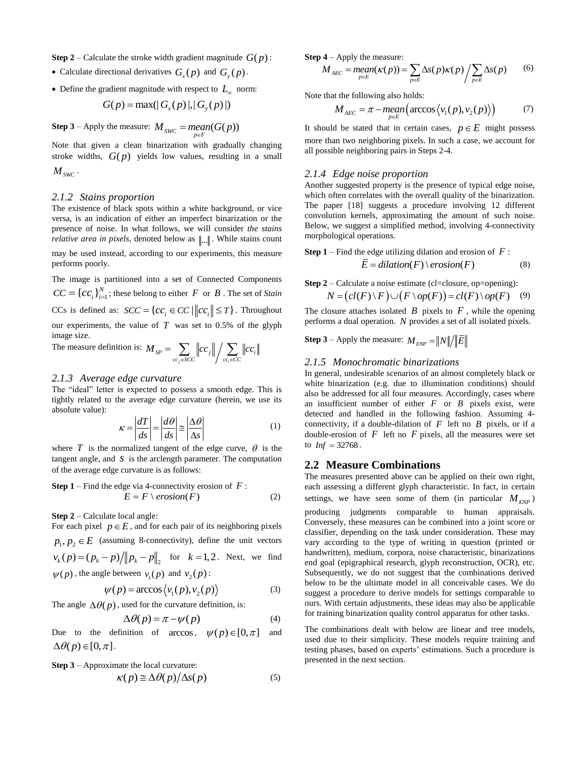**Step 2** – Calculate the stroke width gradient magnitude  $G(p)$ :

- Calculate directional derivatives  $G_x(p)$  and  $G_y(p)$ .
- Define the gradient magnitude with respect to  $L_{\infty}$  norm:<br>  $G(p) = \max(|G_x(p)|, |G_y(p)|)$

$$
G(p) = \max(|G_x(p)|, |G_y(p)|)
$$

**Step 3** – Apply the measure:  $M_{SWC} = \text{mean}(G(p))$ 

Note that given a clean binarization with gradually changing stroke widths,  $G(p)$  yields low values, resulting in a small

# $M_{\textit{\tiny SWC}}$  .

#### *2.1.2 Stains proportion*

The existence of black spots within a white background, or vice versa, is an indication of either an imperfect binarization or the presence of noise. In what follows, we will consider *the stains relative area in pixels*, denoted below as  $\|\ldots\|$ . While stains count may be used instead, according to our experiments, this measure performs poorly.

The image is partitioned into a set of Connected Components  $CC = \{CC_i\}_{i=1}^N$ ; these belong to either *F* or *B*. The set of *Stain* CCs is defined as:  $SCC = \{cc_i \in CC \mid ||cc_i|| \le T\}$ . Throughout our experiments, the value of *T* was set to 0.5% of the glyph image size.

image size.  
The measure definition is: 
$$
M_{SP} = \sum_{cc_j \in SCC} ||cc_j|| / \sum_{cc_i \in CC} ||cc_i||
$$

## *2.1.3 Average edge curvature*

The "ideal" letter is expected to possess a smooth edge. This is tightly related to the average edge curvature (herein, we use its absolute value):

$$
\kappa = \left| \frac{dT}{ds} \right| = \left| \frac{d\theta}{ds} \right| \approx \left| \frac{\Delta \theta}{\Delta s} \right| \tag{1}
$$

where  $T$  is the normalized tangent of the edge curve,  $\theta$  is the tangent angle, and  $S$  is the arclength parameter. The computation of the average edge curvature is as follows:

**Step 1** – Find the edge via 4-connectivity erosion of *F* :  

$$
E = F \ \text{erosion}(F) \tag{2}
$$

**Step 2** – Calculate local angle:

For each pixel  $p \in E$ , and for each pair of its neighboring pixels  $p_1, p_2 \in E$  (assuming 8-connectivity), define the unit vectors  $v_k(p) = (p_k - p) / ||p_k - p||_2$  for  $k = 1, 2$ . Next, we find  $\psi(p)$ , the angle between  $v_1(p)$  and  $v_2(p)$ :

$$
\psi(p) = \arccos \langle v_1(p), v_2(p) \rangle \tag{3}
$$

The angle  $\Delta \theta(p)$ , used for the curvature definition, is:

$$
\Delta \theta(p) = \pi - \psi(p) \tag{4}
$$

Due to the definition of arccos,  $\psi(p) \in [0, \pi]$ and  $\Delta \theta(p) \in [0, \pi]$ .

**Step 3** – Approximate the local curvature:<br> $\kappa(p) \cong \Delta \theta(p) / \Delta s(p)$ 

$$
\kappa(p) \cong \Delta \theta(p) / \Delta s(p) \tag{5}
$$

Step 4 – Apply the measure:  
\n
$$
M_{AEC} = \text{mean}(\kappa(p)) = \sum_{p \in E} \Delta s(p) \kappa(p) / \sum_{p \in E} \Delta s(p) \qquad (6)
$$

Note that the following also holds:  
\n
$$
M_{AEC} = \pi - \text{mean} \left( \arccos \langle v_1(p), v_2(p) \rangle \right) \tag{7}
$$

It should be stated that in certain cases,  $p \in E$  might possess more than two neighboring pixels. In such a case, we account for all possible neighboring pairs in Steps 2-4.

#### *2.1.4 Edge noise proportion*

Another suggested property is the presence of typical edge noise, which often correlates with the overall quality of the binarization. The paper [18] suggests a procedure involving 12 different convolution kernels, approximating the amount of such noise. Below, we suggest a simplified method, involving 4-connectivity morphological operations.

**Step 1** – Find the edge utilizing dilation and erosion of *F* : 
$$
\overline{E} = dilation(F) \, \text{erosion}(F)
$$
 (8)

**Step 2** – Calculate a noise estimate (cl=closure, op=opening):  
\n
$$
N = (cl(F) \setminus F) \cup (F \setminus op(F)) = cl(F) \setminus op(F)
$$
 (9)

The closure attaches isolated  $\hat{B}$  pixels to  $\hat{F}$ , while the opening performs a dual operation. *N* provides a set of all isolated pixels.

## **Step 3** – Apply the measure:  $M_{\text{ENP}} = \left\| N \right\| / \left\| \overline{E} \right\|$

#### *2.1.5 Monochromatic binarizations*

In general, undesirable scenarios of an almost completely black or white binarization (e.g. due to illumination conditions) should also be addressed for all four measures. Accordingly, cases where an insufficient number of either  $F$  or  $B$  pixels exist, were detected and handled in the following fashion. Assuming 4 connectivity, if a double-dilation of  $F$  left no  $B$  pixels, or if a double-erosion of  $F$  left no  $F$  pixels, all the measures were set to  $Inf = 32768$ .

## **2.2 Measure Combinations**

The measures presented above can be applied on their own right, each assessing a different glyph characteristic. In fact, in certain settings, we have seen some of them (in particular  $M_{END}$ ) producing judgments comparable to human appraisals. Conversely, these measures can be combined into a joint score or classifier, depending on the task under consideration. These may vary according to the type of writing in question (printed or handwritten), medium, corpora, noise characteristic, binarizations end goal (epigraphical research, glyph reconstruction, OCR), etc. Subsequently, we do not suggest that the combinations derived below to be the ultimate model in all conceivable cases. We do suggest a procedure to derive models for settings comparable to ours. With certain adjustments, these ideas may also be applicable for training binarization quality control apparatus for other tasks.

The combinations dealt with below are linear and tree models, used due to their simplicity. These models require training and testing phases, based on experts' estimations. Such a procedure is presented in the next section.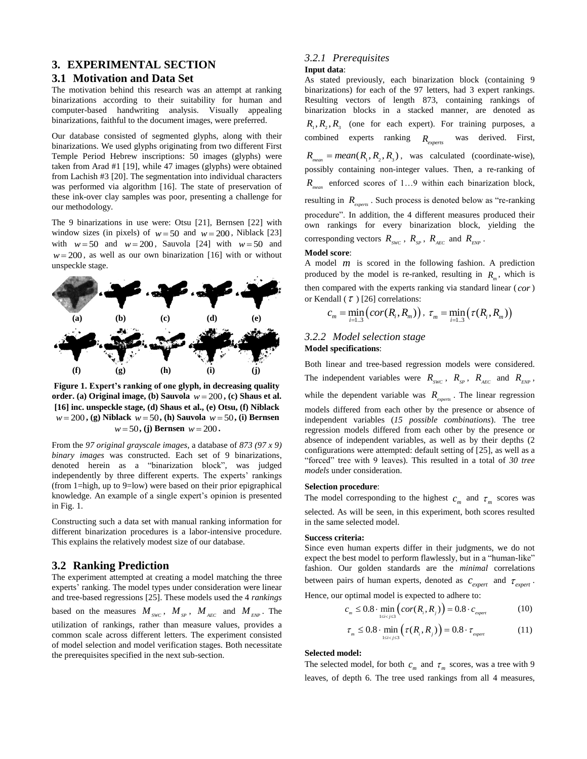## **3. EXPERIMENTAL SECTION**

### **3.1 Motivation and Data Set**

The motivation behind this research was an attempt at ranking binarizations according to their suitability for human and computer-based handwriting analysis. Visually appealing binarizations, faithful to the document images, were preferred.

Our database consisted of segmented glyphs, along with their binarizations. We used glyphs originating from two different First Temple Period Hebrew inscriptions: 50 images (glyphs) were taken from Arad #1 [19], while 47 images (glyphs) were obtained from Lachish #3 [20]. The segmentation into individual characters was performed via algorithm [16]. The state of preservation of these ink-over clay samples was poor, presenting a challenge for our methodology.

The 9 binarizations in use were: Otsu [21], Bernsen [22] with window sizes (in pixels) of  $w = 50$  and  $w = 200$ , Niblack [23] with  $w = 50$  and  $w = 200$ , Sauvola [24] with  $w = 50$  and  $w = 200$ , as well as our own binarization [16] with or without unspeckle stage.



**Figure 1. Expert's ranking of one glyph, in decreasing quality order.** (a) Original image, (b) Sauvola  $w = 200$ , (c) Shaus et al. **[16] inc. unspeckle stage, (d) Shaus et al., (e) Otsu, (f) Niblack**   $w = 200$ , **(g)** Niblack  $w = 50$ , **(h)** Sauvola  $w = 50$ , **(i)** Bernsen  $w = 50$ , (j) Bernsen  $w = 200$ .

From the *97 original grayscale images*, a database of *873 (97 x 9) binary images* was constructed. Each set of 9 binarizations, denoted herein as a "binarization block", was judged independently by three different experts. The experts' rankings (from 1=high, up to 9=low) were based on their prior epigraphical knowledge. An example of a single expert's opinion is presented in Fig. 1.

Constructing such a data set with manual ranking information for different binarization procedures is a labor-intensive procedure. This explains the relatively modest size of our database.

#### **3.2 Ranking Prediction**

The experiment attempted at creating a model matching the three experts' ranking. The model types under consideration were linear and tree-based regressions [25]. These models used the 4 *rankings* based on the measures  $M_{\text{SWC}}$ ,  $M_{\text{SP}}$ ,  $M_{\text{AEC}}$  and  $M_{\text{ENP}}$ . The utilization of rankings, rather than measure values, provides a common scale across different letters. The experiment consisted of model selection and model verification stages. Both necessitate the prerequisites specified in the next sub-section.

# *3.2.1 Prerequisites*

#### **Input data**:

As stated previously, each binarization block (containing 9 binarizations) for each of the 97 letters, had 3 expert rankings. Resulting vectors of length 873, containing rankings of binarization blocks in a stacked manner, are denoted as  $R_1, R_2, R_3$  (one for each expert). For training purposes, a combined experts ranking *Rexperts* was derived. First,  $R_{\text{mean}} = \text{mean}(R_1, R_2, R_3)$ , was calculated (coordinate-wise), possibly containing non-integer values. Then, a re-ranking of *mean R* enforced scores of 1…9 within each binarization block, resulting in  $R_{\text{experts}}$ . Such process is denoted below as "re-ranking" procedure". In addition, the 4 different measures produced their own rankings for every binarization block, yielding the corresponding vectors  $R_{\text{SWC}}$ ,  $R_{\text{SP}}$ ,  $R_{\text{AEC}}$  and  $R_{\text{ENP}}$ .

#### **Model score**:

A model *m* is scored in the following fashion. A prediction produced by the model is re-ranked, resulting in  $R_m$ , which is then compared with the experts ranking via standard linear ( *cor* ) or Kendall  $(\tau)$  [26] correlations:

$$
c_m = \min_{i=1..3} (cor(R_i, R_m)), \tau_m = \min_{i=1..3} (\tau(R_i, R_m))
$$

## *3.2.2 Model selection stage* **Model specifications**:

Both linear and tree-based regression models were considered. The independent variables were  $R_{\text{SWC}}$ ,  $R_{\text{SP}}$ ,  $R_{\text{AEC}}$  and  $R_{\text{ENP}}$ , while the dependent variable was  $R_{\textit{experts}}$ . The linear regression models differed from each other by the presence or absence of independent variables (*15 possible combinations*). The tree regression models differed from each other by the presence or absence of independent variables, as well as by their depths (2 configurations were attempted: default setting of [25], as well as a "forced" tree with 9 leaves). This resulted in a total of *30 tree models* under consideration.

#### **Selection procedure**:

The model corresponding to the highest  $c_m$  and  $\tau_m$  scores was selected. As will be seen, in this experiment, both scores resulted in the same selected model.

#### **Success criteria:**

Since even human experts differ in their judgments, we do not expect the best model to perform flawlessly, but in a "human-like" fashion. Our golden standards are the *minimal* correlations between pairs of human experts, denoted as  $c_{\text{expert}}$  and  $\tau_{\text{expert}}$ .

Hence, our optimal model is expected to adhere to:  

$$
c_m \le 0.8 \cdot \min_{1 \le i < j \le 3} \left( cor(R_i, R_j) \right) = 0.8 \cdot c_{\text{exper}}
$$
(10)

$$
\tau_m \leq 0.8 \cdot \min_{1 \leq i < j \leq 3} \left( \tau(R_i, R_j) \right) = 0.8 \cdot \tau_{\text{exper}} \tag{11}
$$

#### **Selected model:**

The selected model, for both  $c_m$  and  $\tau_m$  scores, was a tree with 9 leaves, of depth 6. The tree used rankings from all 4 measures,